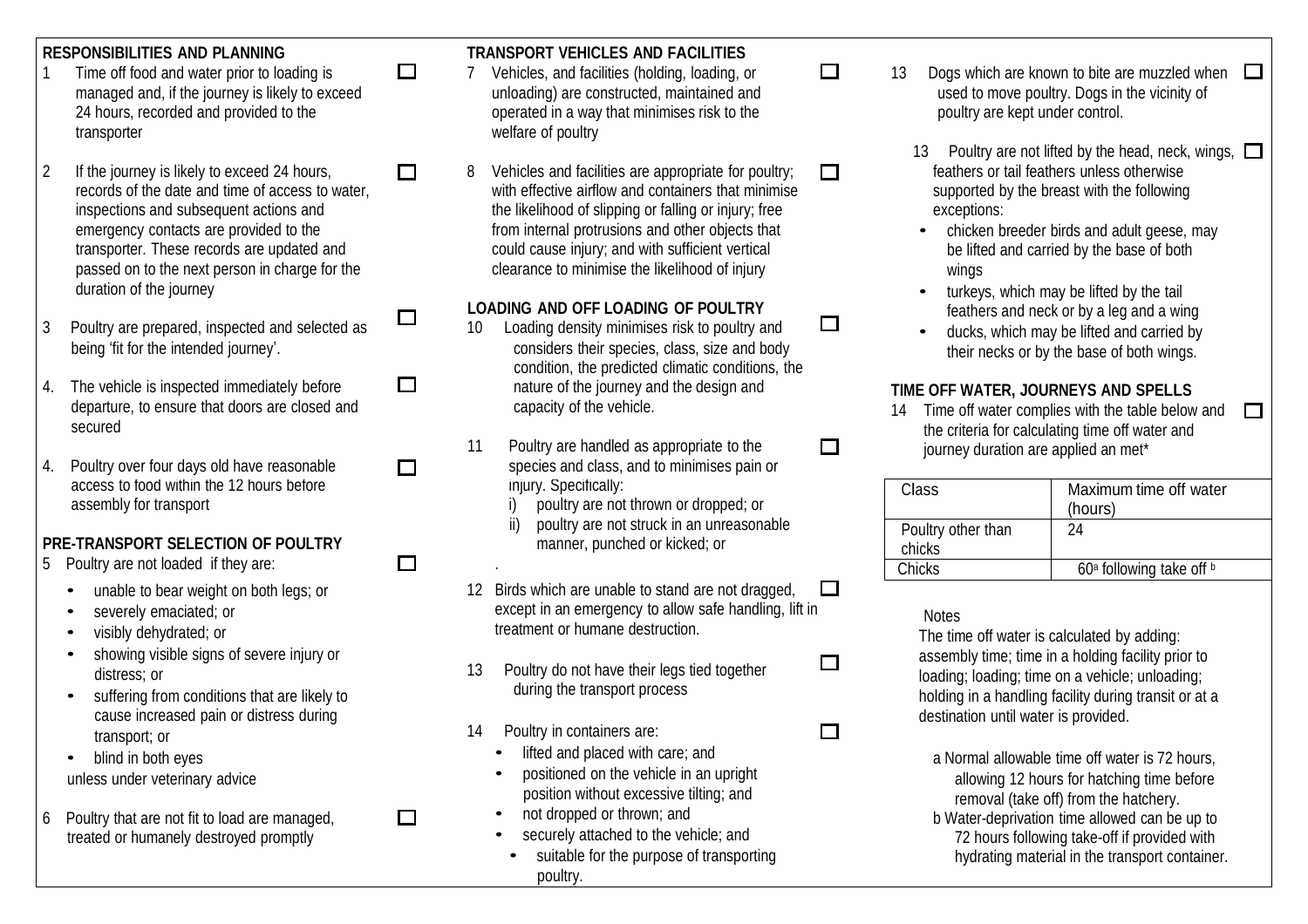- transporter welfare of poultry
- 
- 3 Poultry are prepared, inspected and selected as 10 Loading density minimises risk to poultry and exponential exponential exponential of the ducks, which may be lifted and carried by<br>being 'fit for the intended journey'.
- 
- access to food within the 12 hours before injury. Specifically: assembly for transport and interval of the interval of the interval of the interval of thrown or dropped; or

## **PRE-TRANSPORT SELECTION OF POULTRY** manner, punched or kicked; or

- 5 Poultry are not loaded if they are:
	-
	-
	-
	-
	- cause increased pain or distress during and the cause of the cause increased pain or distress during on the provided.<br>
	The contract of the containers are: transport; or 14 Poultry in containers are:<br>
	blind in both eves blind in both eves
	- blind in both eyes
- 

# **RESPONSIBILITIES AND PLANNING**<br>1 Time off food and water prior to loading is  $\Box$  7 Vehicles, and facilities (holding, loading, or

- 24 hours, recorded and provided to the operated in a way that minimises risk to the poultry are kept under control.
- 2 If the journey is likely to exceed 24 hours, **net all all actilies and facilities are appropriate for poultry; net all actilies of the struke of the frame in less otherwise** records of the date and time of access to water, with effective airflow and containers that minimise supported by the breast with the following inspections and subsequent actions and the likelihood of slipping or falling or injury; free exceptions: emergency contacts are provided to the from internal protrusions and other objects that end on the from internal protrusions and other objects that end on the chicken breeder birds and adult geese, may transporter. These r could cause injury; and with sufficient vertical passed on to the next person in charge for the clearance to minimise the likelihood of injury wings

- condition, the predicted climatic conditions, the 4. The vehicle is inspected immediately before  $\Box$  hature of the journey and the design and **TIME OFF WATER, JOURNEYS AND SPELLS**<br>departure, to ensure that doors are closed and capacity of the vehicle. 44 Time off water c
- 4. Poultry over four days old have reasonable  $\square$  species and class, and to minimises pain or
	-
	- ii) poultry are not struck in an unreasonable
	- unable to bear weight on both legs; or 12 Birds which are unable to stand are not dragged,  $\Box$ severely emaciated; or except in an emergency to allow safe handling, lift in Notes<br>visibly dehydrated; or except in an emergency to allow safe handling, lift in Notes
	- distress; or 13 Poultry do not have their legs tied together loading; loading; loading; time on a vehicle; unloading; during the transport process during the transport process belding in a handling focility during transit
		- -
			-
			-
			-
			- suitable for the purpose of transporting hydrating material in the transport container. poultry.
- 1 Time off food and water prior to loading is  $\square$  7 Vehicles, and facilities (holding, loading, or  $\square$  13 Dogs which are known to bite are muzzled when  $\square$ managed and, if the journey is likely to exceed unloading) are constructed, maintained and used to move poultry. Dogs in the vicinity of
	- 13 Poultry are not lifted by the head, neck, wings,  $\square$ 
		-
	- duration of the journey **Example 2018** turkeys, which may be lifted by the tail<br> **LOADING AND OFF LOADING OF POULTRY Contained a set of a set of a with** the and a with **DING AND OFF LOADING OF POULTRY**<br>
	Loading density minimises risk to poultry and  $\Box$  **Fig.** ducks which may be lifted and carried by
		- their necks or by the base of both wings.

14 Time off water complies with the table below and secured<br>11 Poultry are handled as appropriate to the the the criteria for calculating time off water and<br>11 Poultry are handled as appropriate to the interney duration are applied an met\* journey duration are applied an met\*

П

| Class              | Maximum time off water               |
|--------------------|--------------------------------------|
|                    |                                      |
|                    | (hours)                              |
|                    |                                      |
| Poultry other than | 24                                   |
|                    |                                      |
| chicks             |                                      |
|                    |                                      |
| <b>Chicks</b>      | 60 <sup>a</sup> following take off b |
|                    |                                      |

visibly dehydrated; or treatment or humane destruction.<br>Showing visible signs of severe injury or the thing or the time off water is calculated by adding:<br>Showing visible signs of severe injury or assembly time; time in a holding facility prior to<br>
13 Poultry do not have their legs tied together **D**<br>
loading: loading: loading: time on a vehicle; unloading: suffering from conditions that are likely to during the transport process holding in a handling facility during transit or at a

ifted and placed with care; and a Normal allowable time off water is 72 hours, a Normal allowable time off water is 72 hours,  $\frac{1}{2}$  hours of patching time before unless under veterinary advice **• positioned on the vehicle in an upright** and allowing 12 hours for hatching time before<br>position without excessive tilting; and **properties** and the contract time hatchery position without excessive tilting; and removal (take off) from the hatchery.<br>The Mater-deprivation time allowed can be not dropped or thrown: and <sup>6</sup> Poultry that are not fit to load are managed, • not dropped or thrown; and <sup>b</sup> Water-deprivation time allowed can be up to treated or humanely destroyed promptly entity entity entity securely attached to the vehicle; and the vehicle and the vehicle of the vehicle of the vehicle of the vehicle of the vehicle of the vehicle of the vehicle of the